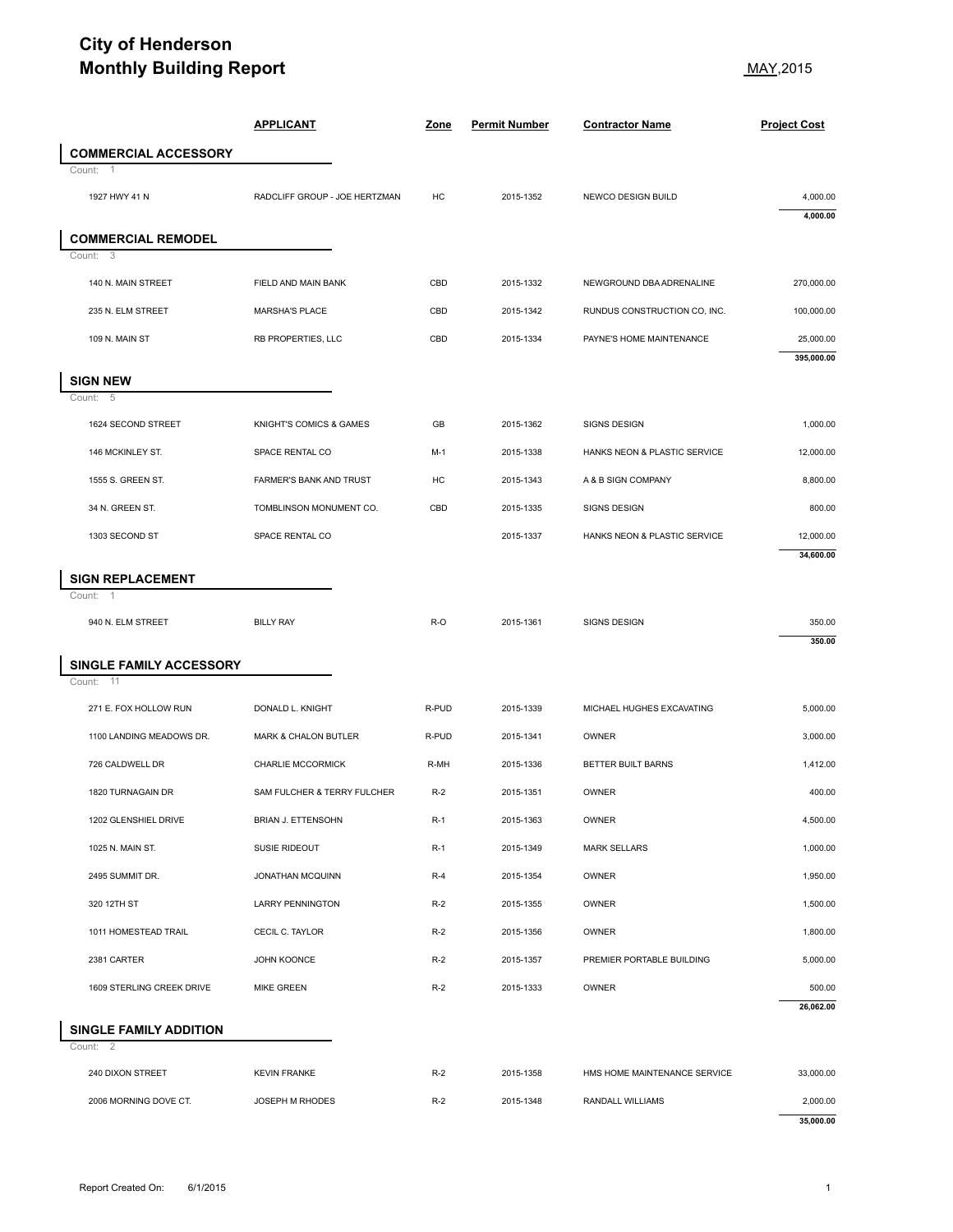## **City of Henderson Monthly Building Report** May, 2015

|                                          | <b>Monthly Building Report</b>                     |           |                        |                                    |                                                        |
|------------------------------------------|----------------------------------------------------|-----------|------------------------|------------------------------------|--------------------------------------------------------|
|                                          | <b>APPLICANT</b>                                   | Zone      | <b>Permit Number</b>   | <b>Contractor Name</b>             | <b>Project Cost</b>                                    |
| <b>COMMERCIAL ACCESSORY</b><br>Count:    |                                                    |           |                        |                                    |                                                        |
| 1927 HWY 41 N                            | RADCLIFF GROUP - JOE HERTZMAN                      | HC        | 2015-1352              | NEWCO DESIGN BUILD                 | 4,000.00<br>4,000.00                                   |
| <b>COMMERCIAL REMODEL</b><br>3<br>Count: |                                                    |           |                        |                                    |                                                        |
| 140 N. MAIN STREET                       | FIELD AND MAIN BANK                                | CBD       | 2015-1332              | NEWGROUND DBA ADRENALINE           | 270,000.00                                             |
| 235 N. ELM STREET                        | <b>MARSHA'S PLACE</b>                              | CBD       | 2015-1342              | RUNDUS CONSTRUCTION CO, INC.       | 100,000.00                                             |
| 109 N. MAIN ST                           | RB PROPERTIES, LLC                                 | CBD       | 2015-1334              | PAYNE'S HOME MAINTENANCE           | 25,000.00<br>395,000.00                                |
| <b>SIGN NEW</b>                          |                                                    |           |                        |                                    |                                                        |
| - 5<br>Count:                            |                                                    |           |                        |                                    |                                                        |
| 1624 SECOND STREET                       | KNIGHT'S COMICS & GAMES                            | GB        | 2015-1362              | <b>SIGNS DESIGN</b>                | 1,000.00                                               |
| 146 MCKINLEY ST.                         | SPACE RENTAL CO                                    | M-1<br>HC | 2015-1338              | HANKS NEON & PLASTIC SERVICE       | 12,000.00<br>8,800.00                                  |
| 1555 S. GREEN ST.<br>34 N. GREEN ST.     | FARMER'S BANK AND TRUST<br>TOMBLINSON MONUMENT CO. | CBD       | 2015-1343<br>2015-1335 | A & B SIGN COMPANY<br>SIGNS DESIGN | 800.00                                                 |
| 1303 SECOND ST                           | SPACE RENTAL CO                                    |           | 2015-1337              | HANKS NEON & PLASTIC SERVICE       | 12,000.00                                              |
| <b>SIGN REPLACEMENT</b><br>Count:<br>-1  |                                                    |           |                        |                                    | 34,600.00                                              |
| 940 N. ELM STREET                        | <b>BILLY RAY</b>                                   | R-O       | 2015-1361              | SIGNS DESIGN                       | 350.00<br>350.00                                       |
| SINGLE FAMILY ACCESSORY<br>-11<br>Count: |                                                    |           |                        |                                    |                                                        |
|                                          |                                                    |           |                        |                                    |                                                        |
| 271 E. FOX HOLLOW RUN                    | DONALD L. KNIGHT                                   | R-PUD     | 2015-1339              | MICHAEL HUGHES EXCAVATING          | 5,000.00                                               |
| 1100 LANDING MEADOWS DR.                 | MARK & CHALON BUTLER                               | R-PUD     | 2015-1341              | OWNER                              |                                                        |
| 726 CALDWELL DR                          | CHARLIE MCCORMICK                                  | R-MH      | 2015-1336              | BETTER BUILT BARNS                 |                                                        |
| 1820 TURNAGAIN DR                        | SAM FULCHER & TERRY FULCHER                        | $R-2$     | 2015-1351              | OWNER                              |                                                        |
| 1202 GLENSHIEL DRIVE                     | BRIAN J. ETTENSOHN                                 | $R-1$     | 2015-1363              | OWNER                              |                                                        |
| 1025 N. MAIN ST.                         | SUSIE RIDEOUT                                      | $R-1$     | 2015-1349              | <b>MARK SELLARS</b>                | 3,000.00<br>1,412.00<br>400.00<br>4,500.00<br>1,000.00 |
| 2495 SUMMIT DR.                          | JONATHAN MCQUINN                                   | $R-4$     | 2015-1354              | OWNER                              | 1,950.00                                               |
| 320 12TH ST                              | <b>LARRY PENNINGTON</b>                            | $R-2$     | 2015-1355              | OWNER                              | 1,500.00                                               |
| 1011 HOMESTEAD TRAIL                     | CECIL C. TAYLOR                                    | $R-2$     | 2015-1356              | OWNER                              | 1,800.00                                               |
| 2381 CARTER                              | JOHN KOONCE                                        | $R-2$     | 2015-1357              | PREMIER PORTABLE BUILDING          | 5,000.00                                               |
| 1609 STERLING CREEK DRIVE                | <b>MIKE GREEN</b>                                  | $R-2$     | 2015-1333              | OWNER                              |                                                        |
| <b>SINGLE FAMILY ADDITION</b>            |                                                    |           |                        |                                    | 500.00<br>26,062.00                                    |
| Count: 2<br>240 DIXON STREET             | <b>KEVIN FRANKE</b>                                | $R-2$     | 2015-1358              | HMS HOME MAINTENANCE SERVICE       | 33,000.00                                              |